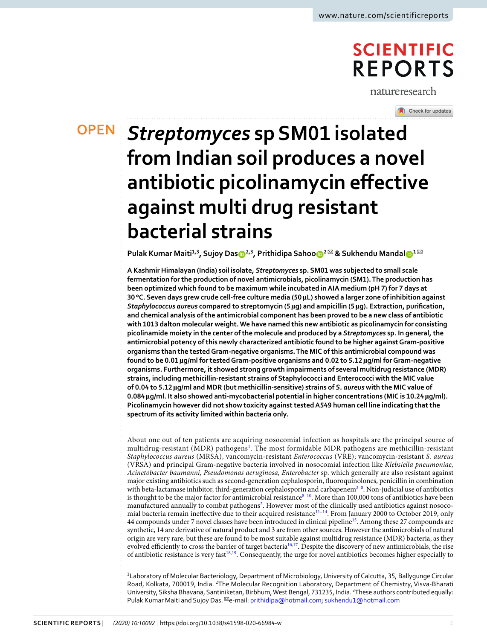# **SCIENTIFIC REPORTS**

natureresearch

Check for updates

# *Streptomyces* **sp SM01 isolated OPENfrom Indian soil produces a novel antibiotic picolinamycin effective against multi drug resistant bacterial strains**

**Pulak Kumar Maiti1,3, Sujoy Da[s](http://orcid.org/0000-0003-3921-0999) 2,3, Prithidipa Sahoo <sup>2</sup>** ✉ **& Sukhendu Mandal <sup>1</sup>** ✉

**A Kashmir Himalayan (India) soil isolate,** *Streptomyces* **sp. SM01 was subjected to small scale fermentation for the production of novel antimicrobials, picolinamycin (SM1). The production has been optimized which found to be maximum while incubated in AIA medium (pH 7) for 7 days at 30 °C. Seven days grew crude cell-free culture media (50 µL) showed a larger zone of inhibition against**  *Staphylococcus aureus* **compared to streptomycin (5 µg) and ampicillin (5 µg). Extraction, purification, and chemical analysis of the antimicrobial component has been proved to be a new class of antibiotic with 1013 dalton molecular weight. We have named this new antibiotic as picolinamycin for consisting picolinamide moiety in the center of the molecule and produced by a** *Streptomyces* **sp. In general, the antimicrobial potency of this newly characterized antibiotic found to be higher against Gram-positive organisms than the tested Gram-negative organisms. The MIC of this antimicrobial compound was found to be 0.01 µg/ml for tested Gram-positive organisms and 0.02 to 5.12 µg/ml for Gram-negative organisms. Furthermore, it showed strong growth impairments of several multidrug resistance (MDR) strains, including methicillin-resistant strains of Staphylococci and Enterococci with the MIC value of 0.04 to 5.12 µg/ml and MDR (but methicillin-sensitive) strains of** *S. aureus* **with the MIC value of 0.084 µg/ml. It also showed anti-mycobacterial potential in higher concentrations (MIC is 10.24 µg/ml). Picolinamycin however did not show toxicity against tested A549 human cell line indicating that the spectrum of its activity limited within bacteria only.**

About one out of ten patients are acquiring nosocomial infection as hospitals are the principal source of multidrug-resistant (MDR) pathogens<sup>[1](#page-9-0)</sup>. The most formidable MDR pathogens are methicillin-resistant Staphylococcus aureus (MRSA), vancomycin-resistant Enterococcus (VRE); vancomycin-resistant S. aureus (VRSA) and principal Gram-negative bacteria involved in nosocomial infection like Klebsiella pneumoniae, Acinetobacter baumanni, Pseudomonas aeruginosa, Enterobacter sp. which generally are also resistant against major existing antibiotics such as second-generation cephalosporin, fluoroquinolones, penicillin in combination with beta-lactamase inhibitor, third-generation cephalosporin and carbapenem $2-8$  $2-8$ . Non-judicial use of antibiotics is thought to be the major factor for antimicrobial resistance  $8-10$  $8-10$ . More than 100,000 tons of antibiotics have been manufactured annually to combat pathogens<sup>[2](#page-9-1)</sup>. However most of the clinically used antibiotics against nosoco-mial bacteria remain ineffective due to their acquired resistance<sup>[11](#page-9-4)–[14](#page-9-5)</sup>. From January 2000 to October 2019, only 44 compounds under 7 novel classes have been introduced in clinical pipeline<sup>[15](#page-9-6)</sup>. Among these 27 compounds are synthetic, 14 are derivative of natural product and 3 are from other sources. However the antimicrobials of natural origin are very rare, but these are found to be most suitable against multidrug resistance (MDR) bacteria, as they evolved efficiently to cross the barrier of target bacteria<sup>[16](#page-9-7),[17](#page-9-8)</sup>. Despite the discovery of new antimicrobials, the rise of antibiotic resistance is very fast<sup>[18](#page-9-9),[19](#page-9-10)</sup>. Consequently, the urge for novel antibiotics becomes higher especially to

<sup>1</sup>Laboratory of Molecular Bacteriology, Department of Microbiology, University of Calcutta, 35, Ballygunge Circular Road, Kolkata, 700019, India. <sup>2</sup>The Molecular Recognition Laboratory, Department of Chemistry, Visva-Bharati University, Siksha Bhavana, Santiniketan, Birbhum, West Bengal, 731235, India. <sup>3</sup>These authors contributed equally: Pulak Kumar Maiti and Sujoy Das. <sup>⊠</sup>e-mail: [prithidipa@hotmail.com](mailto:prithidipa@hotmail.com); [sukhendu1@hotmail.com](mailto:sukhendu1@hotmail.com)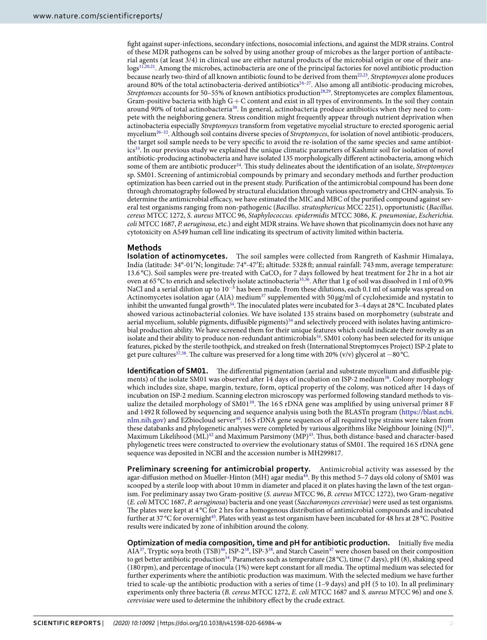fight against super-infections, secondary infections, nosocomial infections, and against the MDR strains. Control of these MDR pathogens can be solved by using another group of microbes as the larger portion of antibacterial agents (at least 3/4) in clinical use are either natural products of the microbial origin or one of their ana- $\log_2$ <sup>[11,](#page-9-4)[20,](#page-9-11)[21](#page-9-12)</sup>. Among the microbes, actinobacteria are one of the principal factories for novel antibiotic production because nearly two-third of all known antibiotic found to be derived from them<sup>[22,](#page-9-13)[23](#page-9-14)</sup>. Streptomyces alone produces around 80% of the total actinobacteria-derived antibiotics<sup>24-[27](#page-9-16)</sup>. Also among all antibiotic-producing microbes, Streptomces accounts for 50–55% of known antibiotics production<sup>[28,](#page-9-17)[29](#page-9-18)</sup>. Streptomycetes are complex filamentous, Gram-positive bacteria with high  $G + C$  content and exist in all types of environments. In the soil they contain around 90% of total actinobacteria<sup>[30](#page-9-19)</sup>. In general, actinobacteria produce antibiotics when they need to compete with the neighboring genera. Stress condition might frequently appear through nutrient deprivation when actinobacteria especially Streptomyces transform from vegetative mycelial structure to erected sporogenic aerial mycelium<sup>[26–](#page-9-20)[32](#page-9-21)</sup>. Although soil contains diverse species of *Streptomyces*, for isolation of novel antibiotic-producers, the target soil sample needs to be very specific to avoid the re-isolation of the same species and same antibiot-ics<sup>[33](#page-9-22)</sup>. In our previous study we explained the unique climatic parameters of Kashmir soil for isolation of novel antibiotic-producing actinobacteria and have isolated 135 morphologically different actinobacteria, among which some of them are antibiotic producer<sup>[34](#page-9-23)</sup>. This study delineates about the identification of an isolate, Streptomyces sp. SM01. Screening of antimicrobial compounds by primary and secondary methods and further production optimization has been carried out in the present study. Purification of the antimicrobial compound has been done through chromatography followed by structural elucidation through various spectrometry and CHN-analysis. To determine the antimicrobial efficacy, we have estimated the MIC and MBC of the purified compound against several test organisms ranging from non-pathogenic (Bacillus. stratosphericus MCC 2251), opportunistic (Bacillus. cereus MTCC 1272, S. aureus MTCC 96, Staphylococcus. epidermidis MTCC 3086, K. pneumoniae, Escherichia. coli MTCC 1687, P. aeruginosa, etc.) and eight MDR strains. We have shown that picolinamycin does not have any cytotoxicity on A549 human cell line indicating its spectrum of activity limited within bacteria.

## **Methods**

**Isolation of actinomycetes.** The soil samples were collected from Rangreth of Kashmir Himalaya, India (latitude: 34°-01′N; longitude: 74°-47′E; altitude: 5328 ft; annual rainfall: 743 mm, average temperature: 13.6 °C). Soil samples were pre-treated with CaCO<sub>3</sub> for 7 days followed by heat treatment for 2 hr in a hot air oven at 65 °C to enrich and selectively isolate actinobacteria<sup>[35](#page-9-24),[36](#page-9-25)</sup>. After that 1 g of soil was dissolved in 1 ml of 0.9% NaCl and a serial dilution up to 10<sup>−5</sup> has been made. From these dilutions, each 0.1 ml of sample was spread on Actinomycetes isolation agar (AIA) medium<sup>[37](#page-10-0)</sup> supplemented with 50  $\mu$ g/ml of cycloheximide and nystatin to inhibit the unwanted fungal growth<sup>[34](#page-9-23)</sup>. The inoculated plates were incubated for 3–4 days at 28 °C. Incubated plates showed various actinobacterial colonies. We have isolated 135 strains based on morphometry (substrate and aerial mycelium, soluble pigments, diffusible pigments) $34$  and selectively proceed with isolates having antimicrobial production ability. We have screened them for their unique features which could indicate their novelty as an isolate and their ability to produce non-redundant antimicrobials $34$ . SM01 colony has been selected for its unique features, picked by the sterile toothpick, and streaked on fresh (International Streptomyces Project) ISP-2 plate to get pure cultures<sup>[37,](#page-10-0)[38](#page-10-1)</sup>. The culture was preserved for a long time with 20% (v/v) glycerol at −80 °C.

**Identification of SM01.** The differential pigmentation (aerial and substrate mycelium and diffusible pig-ments) of the isolate SM01 was observed after 14 days of incubation on ISP-2 medium<sup>[38](#page-10-1)</sup>. Colony morphology which includes size, shape, margin, texture, form, optical property of the colony, was noticed after 14 days of incubation on ISP-2 medium. Scanning electron microscopy was performed following standard methods to vis-ualize the detailed morphology of SM01<sup>[39](#page-10-2)</sup>. The 16 S rDNA gene was amplified by using universal primer 8 F and 1492 R followed by sequencing and sequence analysis using both the BLASTn program [\(https://blast.ncbi.](https://blast.ncbi.nlm.nih.gov) [nlm.nih.gov](https://blast.ncbi.nlm.nih.gov)) and EZbiocloud server[40](#page-10-3). 16 S rDNA gene sequences of all required type strains were taken from these databanks and phylogenetic analyses were completed by various algorithms like Neighbour Joining  $(NJ)^{41}$  $(NJ)^{41}$  $(NJ)^{41}$ , Maximum Likelihood (ML)<sup>[42](#page-10-5)</sup> and Maximum Parsimony (MP)<sup>[43](#page-10-6)</sup>. Thus, both distance-based and character-based phylogenetic trees were constructed to overview the evolutionary status of SM01. The required 16 S rDNA gene sequence was deposited in NCBI and the accession number is MH299817.

**Preliminary screening for antimicrobial property.** Antimicrobial activity was assessed by the agar-diffusion method on Mueller-Hinton (MH) agar media[44](#page-10-7). By this method 5–7 days old colony of SM01 was scooped by a sterile loop with about 10 mm in diameter and placed it on plates having the lawn of the test organism. For preliminary assay two Gram-positive (S. aureus MTCC 96, B. cereus MTCC 1272), two Gram-negative (E. coli MTCC 1687, P. aeruginosa) bacteria and one yeast (Saccharomyces cerevisiae) were used as test organisms. The plates were kept at 4 °C for 2 hrs for a homogenous distribution of antimicrobial compounds and incubated further at 37 °C for overnight<sup>[45](#page-10-8)</sup>. Plates with yeast as test organism have been incubated for 48 hrs at 28 °C. Positive results were indicated by zone of inhibition around the colony.

**Optimization of media composition, time and pH for antibiotic production.** Initially five media AIA<sup>[37](#page-10-0)</sup>, Tryptic soya broth (TSB)<sup>[46](#page-10-9)</sup>, ISP-2<sup>[38](#page-10-1)</sup>, ISP-3<sup>38</sup>, and Starch Casein<sup>[47](#page-10-10)</sup> were chosen based on their composition to get better antibiotic production<sup>[34](#page-9-23)</sup>. Parameters such as temperature (28 °C), time (7 days), pH (8), shaking speed (180 rpm), and percentage of inocula (1%) were kept constant for all media. The optimal medium was selected for further experiments where the antibiotic production was maximum. With the selected medium we have further tried to scale-up the antibiotic production with a series of time (1–9 days) and pH (5 to 10). In all preliminary experiments only three bacteria (B. cereus MTCC 1272, E. coli MTCC 1687 and S. aureus MTCC 96) and one S. cerevisiae were used to determine the inhibitory effect by the crude extract.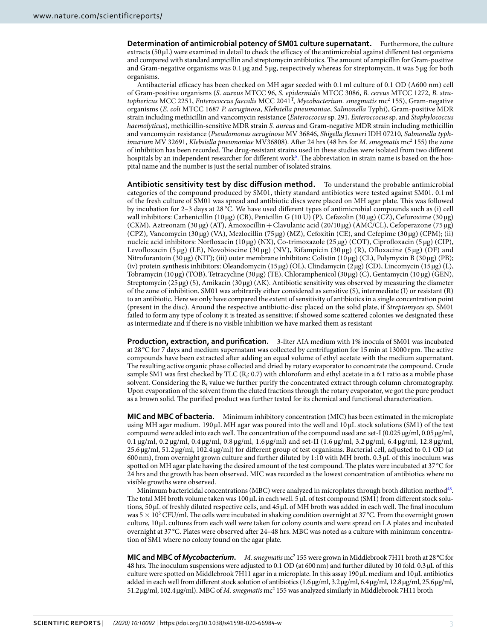**Determination of antimicrobial potency of SM01 culture supernatant.** Furthermore, the culture extracts ( $50 \mu L$ ) were examined in detail to check the efficacy of the antimicrobial against different test organisms and compared with standard ampicillin and streptomycin antibiotics. The amount of ampicillin for Gram-positive and Gram-negative organisms was 0.1 µg and 5 µg, respectively whereas for streptomycin, it was 5 µg for both organisms.

Antibacterial efficacy has been checked on MH agar seeded with 0.1 ml culture of 0.1 OD (A600 nm) cell of Gram-positive organisms (S. aureus MTCC 96, S. epidermidis MTCC 3086, B. cereus MTCC 1272, B. stratophericus MCC 2251, Enterococcus faecalis MCC 2041<sup>T</sup> , Mycobacterium. smegmatis mc<sup>2</sup> 155), Gram-negative organisms (E. coli MTCC 1687 P. aeruginosa, Klebsiella pneumoniae, Salmonella Typhi), Gram-positive MDR strain including methicillin and vancomycin resistance (Enteroccocus sp. 291, Enteroccocus sp. and Staphylococcus haemolyticus), methicillin-sensitive MDR strain S. aureus and Gram-negative MDR strain including methicillin and vancomycin resistance (Pseudomonas aeruginosa MV 36846, Shigella flexneri IDH 07210, Salmonella typhimurium MV 32691, Klebsiella pneumoniae MV36808). After 24 hrs (48 hrs for M. smegmatis mc<sup>2</sup> 155) the zone of inhibition has been recorded. The drug-resistant strains used in these studies were isolated from two different hospitals by an independent researcher for different work<sup>[5](#page-9-26)</sup>. The abbreviation in strain name is based on the hospital name and the number is just the serial number of isolated strains.

**Antibiotic sensitivity test by disc diffusion method.** To understand the probable antimicrobial categories of the compound produced by SM01, thirty standard antibiotics were tested against SM01. 0.1 ml of the fresh culture of SM01 was spread and antibiotic discs were placed on MH agar plate. This was followed by incubation for 2–3 days at 28 °C. We have used different types of antimicrobial compounds such as (i) cell wall inhibitors: Carbenicillin (10 µg) (CB), Penicillin G (10 U) (P), Cefazolin (30 µg) (CZ), Cefuroxime (30 µg) (CXM), Aztreonam (30 µg) (AT), Amoxocillin + Clavulanic acid (20/10 µg) (AMC/CL), Cefoperazone (75 µg) (CPZ), Vancomycin (30 µg) (VA), Mezlocillin (75 µg) (MZ), Cefoxitin (CE), and Cefepime (30 µg) (CPM); (ii) nucleic acid inhibitors: Norfloxacin (10 µg) (NX), Co-trimoxazole (25 µg) (COT), Ciprofloxacin (5 µg) (CIP), Levofloxacin (5 µg) (LE), Novobiocine (30 µg) (NV), Rifampicin (30 µg) (R), Ofloxacine (5 µg) (OF) and Nitrofurantoin (30 µg) (NIT); (iii) outer membrane inhibitors: Colistin (10 µg) (CL), Polymyxin B (30 µg) (PB); (iv) protein synthesis inhibitors: Oleandomycin (15 µg) (OL), Clindamycin (2 µg) (CD), Lincomycin (15 µg) (L), Tobramycin (10 µg) (TOB), Tetracycline (30 µg) (TE), Chloramphenicol (30 µg) (C), Gentamycin (10 µg) (GEN), Streptomycin (25 µg) (S), Amikacin (30 µg) (AK). Antibiotic sensitivity was observed by measuring the diameter of the zone of inhibition. SM01 was arbitrarily either considered as sensitive (S), intermediate (I) or resistant (R) to an antibiotic. Here we only have compared the extent of sensitivity of antibiotics in a single concentration point (present in the disc). Around the respective antibiotic-disc placed on the solid plate, if Streptomyces sp. SM01 failed to form any type of colony it is treated as sensitive; if showed some scattered colonies we designated these as intermediate and if there is no visible inhibition we have marked them as resistant

**Production, extraction, and purification.** 3-liter AIA medium with 1% inocula of SM01 was incubated at 28 °C for 7 days and medium supernatant was collected by centrifugation for 15 min at 13000 rpm. The active compounds have been extracted after adding an equal volume of ethyl acetate with the medium supernatant. The resulting active organic phase collected and dried by rotary evaporator to concentrate the compound. Crude sample SM1 was first checked by TLC ( $R_f$  0.7) with chloroform and ethyl acetate in a 6:1 ratio as a mobile phase solvent. Considering the  $R_f$  value we further purify the concentrated extract through column chromatography. Upon evaporation of the solvent from the eluted fractions through the rotary evaporator, we got the pure product as a brown solid. The purified product was further tested for its chemical and functional characterization.

**MIC and MBC of bacteria.** Minimum inhibitory concentration (MIC) has been estimated in the microplate using MH agar medium. 190 µL MH agar was poured into the well and 10 µL stock solutions (SM1) of the test compound were added into each well. The concentration of the compound used are: set-I (0.025 µg/ml, 0.05 µg/ml, 0.1 µg/ml, 0.2 µg/ml, 0.4 µg/ml, 0.8 µg/ml, 1.6 µg/ml) and set-II (1.6 µg/ml, 3.2 µg/ml, 6.4 µg/ml, 12.8 µg/ml, 25.6 µg/ml, 51.2 µg/ml, 102.4 µg/ml) for different group of test organisms. Bacterial cell, adjusted to 0.1 OD (at 600 nm), from overnight grown culture and further diluted by 1:10 with MH broth. 0.3 µL of this inoculum was spotted on MH agar plate having the desired amount of the test compound. The plates were incubated at 37 °C for 24 hrs and the growth has been observed. MIC was recorded as the lowest concentration of antibiotics where no visible growths were observed.

Minimum bactericidal concentrations (MBC) were analyzed in microplates through broth dilution method<sup>[48](#page-10-11)</sup>. The total MH broth volume taken was 100 µL in each well. 5 µL of test compound (SM1) from different stock solutions, 50 µL of freshly diluted respective cells, and 45 µL of MH broth was added in each well. The final inoculum was 5  $\times$  10<sup>5</sup> CFU/ml. The cells were incubated in shaking condition overnight at 37 °C. From the overnight grown culture, 10 µL cultures from each well were taken for colony counts and were spread on LA plates and incubated overnight at 37 °C. Plates were observed after 24–48 hrs. MBC was noted as a culture with minimum concentration of SM1 where no colony found on the agar plate.

MIC and MBC of Mycobacterium. M. smegmatis mc<sup>2</sup> 155 were grown in Middlebrook 7H11 broth at 28 °C for 48 hrs. The inoculum suspensions were adjusted to 0.1 OD (at 600 nm) and further diluted by 10 fold. 0.3 µL of this culture were spotted on Middlebrook 7H11 agar in a microplate. In this assay 190 µL medium and 10 µL antibiotics added in each well from different stock solution of antibiotics (1.6 µg/ml, 3.2 µg/ml, 6.4 µg/ml, 12.8 µg/ml, 25.6 µg/ml, 51.2 µg/ml, 102.4 µg/ml). MBC of M. smegmatis mc<sup>2</sup> 155 was analyzed similarly in Middlebrook 7H11 broth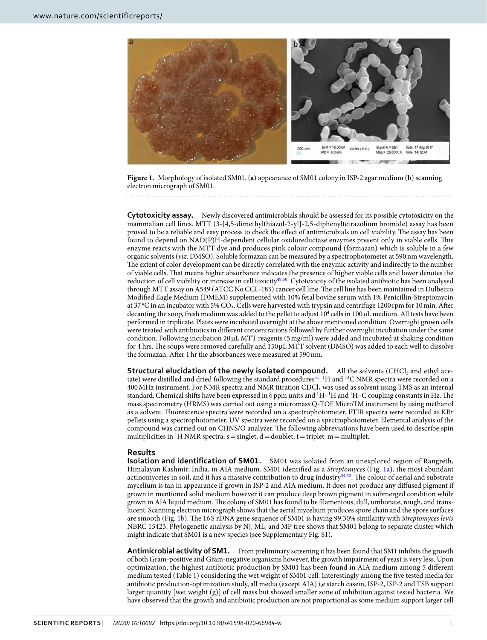

<span id="page-3-0"></span>**Figure 1.** Morphology of isolated SM01. (**a**) appearance of SM01 colony in ISP-2 agar medium (**b**) scanning electron micrograph of SM01.

**Cytotoxicity assay.** Newly discovered antimicrobials should be assessed for its possible cytotoxicity on the mammalian cell lines. MTT (3-[4,5-dimethylthiazol-2-yl]-2,5-diphenyltetrazolium bromide) assay has been proved to be a reliable and easy process to check the effect of antimicrobials on cell viability. The assay has been found to depend on NAD(P)H-dependent cellular oxidoreductase enzymes present only in viable cells. This enzyme reacts with the MTT dye and produces pink colour compound (formazan) which is soluble in a few organic solvents (viz. DMSO). Soluble formazan can be measured by a spectrophotometer at 590 nm wavelength. The extent of color development can be directly correlated with the enzymic activity and indirectly to the number of viable cells. That means higher absorbance indicates the presence of higher viable cells and lower denotes the reduction of cell viability or increase in cell toxicity[49](#page-10-12),[50](#page-10-13). Cytotoxicity of the isolated antibiotic has been analysed through MTT assay on A549 (ATCC No CCL-185) cancer cell line. The cell line has been maintained in Dulbecco Modified Eagle Medium (DMEM) supplemented with 10% fetal bovine serum with 1% Penicillin-Streptomycin at 37 °C in an incubator with 5%  $CO_2$ . Cells were harvested with trypsin and centrifuge 1200 rpm for 10 min. After decanting the soup, fresh medium was added to the pellet to adjust  $10^4$  cells in  $100 \mu$ L medium. All tests have been performed in triplicate. Plates were incubated overnight at the above mentioned condition. Overnight grown cells were treated with antibiotics in different concentrations followed by further overnight incubation under the same condition. Following incubation 20 µL MTT reagents (5 mg/ml) were added and incubated at shaking condition for 4 hrs. The soups were removed carefully and 150 µL MTT solvent (DMSO) was added to each well to dissolve the formazan. After 1 hr the absorbances were measured at 590 nm.

**Structural elucidation of the newly isolated compound.** All the solvents (CHCl<sub>3</sub> and ethyl ace-tate) were distilled and dried following the standard procedures<sup>[51](#page-10-14)</sup>. <sup>1</sup>H and <sup>13</sup>C NMR spectra were recorded on a 400 MHz instrument. For NMR spectra and NMR titration CDCl<sub>3</sub> was used as solvent using TMS as an internal standard. Chemical shifts have been expressed in  $\delta$  ppm units and <sup>1</sup>H–<sup>1</sup>H and <sup>1</sup>H–C coupling constants in Hz. The mass spectrometry (HRMS) was carried out using a micromass Q-TOF MicroTM instrument by using methanol as a solvent. Fluorescence spectra were recorded on a spectrophotometer. FTIR spectra were recorded as KBr pellets using a spectrophotometer. UV spectra were recorded on a spectrophotometer. Elemental analysis of the compound was carried out on CHNS/O analyzer. The following abbreviations have been used to describe spin multiplicities in <sup>1</sup>H NMR spectra:  $s =$  singlet;  $d =$  doublet;  $t =$  triplet; m = multiplet.

#### **Results**

**Isolation and identification of SM01.** SM01 was isolated from an unexplored region of Rangreth, Himalayan Kashmir, India, in AIA medium. SM01 identified as a Streptomyces (Fig. [1a](#page-3-0)), the most abundant actinomycetes in soil, and it has a massive contribution to drug industry<sup>[34,](#page-9-23)[52](#page-10-15)</sup>. The colour of aerial and substrate mycelium is tan in appearance if grown in ISP-2 and AIA medium. It does not produce any diffused pigment if grown in mentioned solid medium however it can produce deep brown pigment in submerged condition while grown in AIA liquid medium. The colony of SM01 has found to be filamentous, dull, umbonate, rough, and translucent. Scanning electron micrograph shows that the aerial mycelium produces spore chain and the spore surfaces are smooth (Fig. [1b\)](#page-3-0). The 16 S rDNA gene sequence of SM01 is having 99.30% similarity with Streptomyces levis NBRC 15423. Phylogenetic analysis by NJ, ML, and MP tree shows that SM01 belong to separate cluster which might indicate that SM01 is a new species (see Supplementary Fig. S1).

**Antimicrobial activity of SM1.** From preliminary screening it has been found that SM1 inhibits the growth of both Gram-positive and Gram-negative organisms however, the growth impairment of yeast is very less. Upon optimization, the highest antibiotic production by SM01 has been found in AIA medium among 5 different medium tested (Table [1\)](#page-4-0) considering the wet weight of SM01 cell. Interestingly among the five tested media for antibiotic production-optimization study, all media (except AIA) i,e starch casein, ISP-2, ISP-2 and TSB support larger quantity [wet weight (g)] of cell mass but showed smaller zone of inhibition against tested bacteria. We have observed that the growth and antibiotic production are not proportional as some medium support larger cell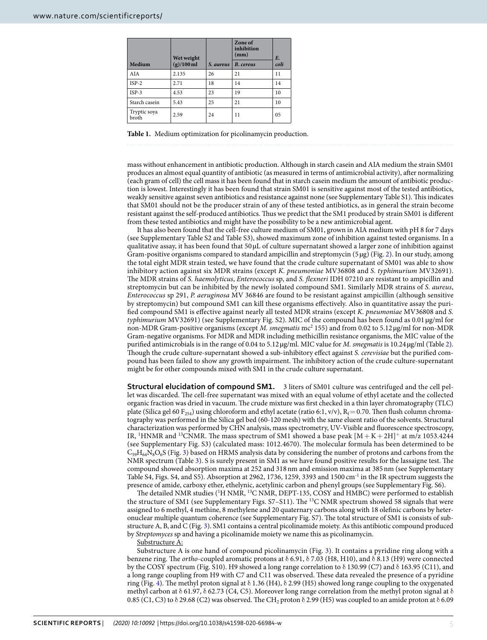<span id="page-4-0"></span>

|                       | Wet weight   |           | Zone of<br>inhibition<br>(mm) | <b>E.</b> |
|-----------------------|--------------|-----------|-------------------------------|-----------|
| Medium                | $(g)/100$ ml | S. aureus | <b>B.</b> cereus              | coli      |
| AIA                   | 2.135        | 26        | 21                            | 11        |
| $ISP-2$               | 2.71         | 18        | 14                            | 14        |
| $ISP-3$               | 4.53         | 23        | 19                            | 10        |
| Starch casein         | 5.43         | 25        | 21                            | 10        |
| Tryptic soya<br>broth | 2.59         | 24        | 11                            | 05        |

**Table 1.** Medium optimization for picolinamycin production.

mass without enhancement in antibiotic production. Although in starch casein and AIA medium the strain SM01 produces an almost equal quantity of antibiotic (as measured in terms of antimicrobial activity), after normalizing (each gram of cell) the cell mass it has been found that in starch casein medium the amount of antibiotic production is lowest. Interestingly it has been found that strain SM01 is sensitive against most of the tested antibiotics, weakly sensitive against seven antibiotics and resistance against none (see Supplementary Table S1). This indicates that SM01 should not be the producer strain of any of these tested antibiotics, as in general the strain become resistant against the self-produced antibiotics. Thus we predict that the SM1 produced by strain SM01 is different from these tested antibiotics and might have the possibility to be a new antimicrobial agent.

It has also been found that the cell-free culture medium of SM01, grown in AIA medium with pH 8 for 7 days (see Supplementary Table S2 and Table S3), showed maximum zone of inhibition against tested organisms. In a qualitative assay, it has been found that 50 µL of culture supernatant showed a larger zone of inhibition against Gram-positive organisms compared to standard ampicillin and streptomycin (5 µg) (Fig. [2](#page-5-0)). In our study, among the total eight MDR strain tested, we have found that the crude culture supernatant of SM01 was able to show inhibitory action against six MDR strains (except K. pneumoniae MV36808 and S. typhimurium MV32691). The MDR strains of S. haemolyticus, Enterococcus sp, and S. flexneri IDH 07210 are resistant to ampicillin and streptomycin but can be inhibited by the newly isolated compound SM1. Similarly MDR strains of S. aureus, Enterococcus sp 291, P. aeruginosa MV 36846 are found to be resistant against ampicillin (although sensitive by streptomycin) but compound SM1 can kill these organisms effectively. Also in quantitative assay the purified compound SM1 is effective against nearly all tested MDR strains (except K. pneumoniae MV36808 and S. typhimurium MV32691) (see Supplementary Fig. S2). MIC of the compound has been found as 0.01 µg/ml for non-MDR Gram-positive organisms (except M. smegmatis mc<sup>2</sup> 155) and from 0.02 to 5.12 µg/ml for non-MDR Gram-negative organisms. For MDR and MDR including methicillin resistance organisms, the MIC value of the purified antimicrobials is in the range of 0.04 to 5.12 µg/ml. MIC value for M. smegmatis is 10.24 µg/ml (Table [2](#page-6-0)). Though the crude culture-supernatant showed a sub-inhibitory effect against S. cerevisiae but the purified compound has been failed to show any growth impairment. The inhibitory action of the crude culture-supernatant might be for other compounds mixed with SM1 in the crude culture supernatant.

**Structural elucidation of compound SM1.** 3 liters of SM01 culture was centrifuged and the cell pellet was discarded. The cell-free supernatant was mixed with an equal volume of ethyl acetate and the collected organic fraction was dried in vacuum. The crude mixture was first checked in a thin layer chromatography (TLC) plate (Silica gel 60 F<sub>254</sub>) using chloroform and ethyl acetate (ratio 6:1, v/v), R<sub>f</sub>= 0.70. Then flush column chromatography was performed in the Silica gel bed (60-120 mesh) with the same eluent ratio of the solvents. Structural characterization was performed by CHN analysis, mass spectrometry, UV-Visible and fluorescence spectroscopy, IR, <sup>1</sup>HNMR and <sup>13</sup>CNMR. The mass spectrum of SM1 showed a base peak  $[M + K + 2H]^+$  at m/z 1053.4244 (see Supplementary Fig. S3) (calculated mass: 1012.4670). The molecular formula has been determined to be  $C_{59}H_{64}N_8O_6S$  (Fig. [3\)](#page-6-1) based on HRMS analysis data by considering the number of protons and carbons from the NMR spectrum (Table [3](#page-7-0)). S is surely present in SM1 as we have found positive results for the lassaigne test. The compound showed absorption maxima at 252 and 318 nm and emission maxima at 385 nm (see Supplementary Table S4, Figs. S4, and S5). Absorption at 2962, 1736, 1259, 3393 and 1500 cm-1 in the IR spectrum suggests the presence of amide, carboxy ether, ethelynic, acetylinic carbon and phenyl groups (see Supplementary Fig. S6).

The detailed NMR studies (<sup>1</sup>H NMR, <sup>13</sup>C NMR, DEPT-135, COSY and HMBC) were performed to establish the structure of SM1 (see Supplementary Figs. S7–S11). The <sup>13</sup>C NMR spectrum showed 58 signals that were assigned to 6 methyl, 4 methine, 8 methylene and 20 quaternary carbons along with 18 olefinic carbons by heteronuclear multiple quantum coherence (see Supplementary Fig. S7). The total structure of SM1 is consists of substructure A, B, and C (Fig. [3\)](#page-6-1). SM1 contains a central picolinamide moiety. As this antibiotic compound produced by Streptomyces sp and having a picolinamide moiety we name this as picolinamycin.

Substructure A:

Substructure A is one hand of compound picolinamycin (Fig. [3](#page-6-1)). It contains a pyridine ring along with a benzene ring. The *ortho-coupled aromatic protons at*  $\delta$  6.91,  $\delta$  7.03 (H8, H10), and  $\delta$  8.13 (H9) were connected by the COSY spectrum (Fig. S10). H9 showed a long range correlation to δ 130.99 (C7) and δ 163.95 (C11), and a long range coupling from H9 with C7 and C11 was observed. These data revealed the presence of a pyridine ring (Fig. [4](#page-8-0)). The methyl proton signal at  $\delta$  1.36 (H4),  $\delta$  2.99 (H5) showed long range coupling to the oxygenated methyl carbon at δ 61.97, δ 62.73 (C4, C5). Moreover long range correlation from the methyl proton signal at δ 0.85 (C1, C3) to  $\delta$  29.68 (C2) was observed. The CH<sub>2</sub> proton  $\delta$  2.99 (H5) was coupled to an amide proton at  $\delta$  6.09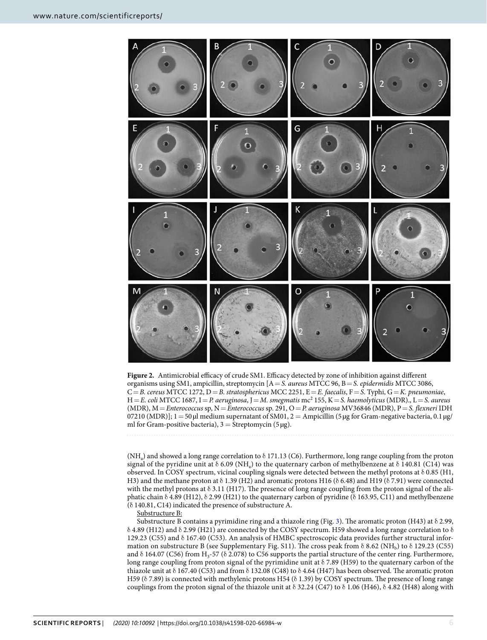

<span id="page-5-0"></span>**Figure 2.** Antimicrobial efficacy of crude SM1. Efficacy detected by zone of inhibition against different organisms using SM1, ampicillin, streptomycin  $[A = S$ . aureus MTCC 96, B = S. epidermidis MTCC 3086,  $C = B$ . cereus MTCC 1272, D = B. stratosphericus MCC 2251, E = E. faecalis, F = S. Typhi, G = K. pneumoniae,  $H = E$ . coli MTCC 1687, I $= P$ . aeruginosa, J $= M$ . smegmatis  $mc^2$  155, K $= S$ . haemolyticus (MDR)., L $= S$ . aureus (MDR),  $M =$ Enterococcus sp,  $N =$ Enterococcus sp. 291, O = P. aeruginosa MV36846 (MDR), P = S. flexneri IDH 07210 (MDR)];  $1 = 50 \mu$  medium supernatant of SM01,  $2 =$  Ampicillin (5  $\mu$ g for Gram-negative bacteria, 0.1  $\mu$ g/ ml for Gram-positive bacteria),  $3 =$  Streptomycin (5 µg).

(NH<sub>a</sub>) and showed a long range correlation to  $\delta$  171.13 (C6). Furthermore, long range coupling from the proton signal of the pyridine unit at  $\delta$  6.09 (NH<sub>a</sub>) to the quaternary carbon of methylbenzene at  $\delta$  140.81 (C14) was observed. In COSY spectrum, vicinal coupling signals were detected between the methyl protons at δ 0.85 (H1, H3) and the methane proton at δ 1.39 (H2) and aromatic protons H16 (δ 6.48) and H19 (δ 7.91) were connected with the methyl protons at  $\delta$  3.11 (H17). The presence of long range coupling from the proton signal of the aliphatic chain  $\delta$  4.89 (H12),  $\delta$  2.99 (H21) to the quaternary carbon of pyridine ( $\delta$  163.95, C11) and methylbenzene (δ 140.81, C14) indicated the presence of substructure A.

Substructure B:

Substructure B contains a pyrimidine ring and a thiazole ring (Fig. [3](#page-6-1)). The aromatic proton (H43) at  $\delta$  2.99, δ 4.89 (H12) and δ 2.99 (H21) are connected by the COSY spectrum. H59 showed a long range correlation to δ 129.23 (C55) and δ 167.40 (C53). An analysis of HMBC spectroscopic data provides further structural information on substructure B (see Supplementary Fig. S11). The cross peak from  $\delta$  8.62 (NH<sub>b</sub>) to  $\delta$  129.23 (C55) and  $\delta$  164.07 (C56) from H<sub>3</sub>-57 ( $\delta$  2.078) to C56 supports the partial structure of the center ring. Furthermore, long range coupling from proton signal of the pyrimidine unit at  $\delta$  7.89 (H59) to the quaternary carbon of the thiazole unit at  $\delta$  167.40 (C53) and from  $\delta$  132.08 (C48) to  $\delta$  4.64 (H47) has been observed. The aromatic proton H59 (δ 7.89) is connected with methylenic protons H54 (δ 1.39) by COSY spectrum. The presence of long range couplings from the proton signal of the thiazole unit at  $\delta$  32.24 (C47) to  $\delta$  1.06 (H46),  $\delta$  4.82 (H48) along with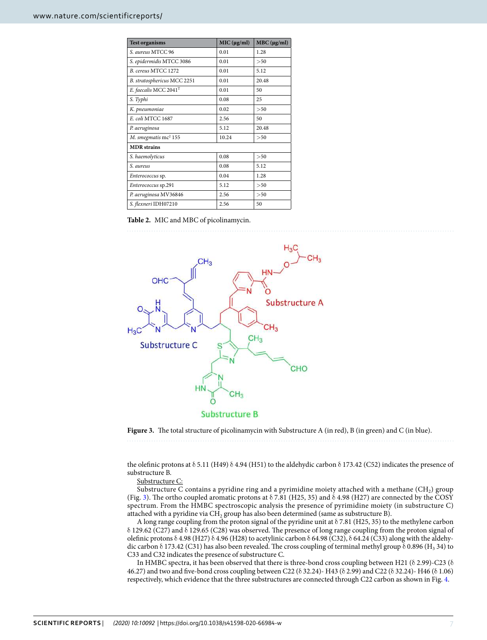<span id="page-6-0"></span>

| <b>Test organisms</b>             | MIC (µg/ml) | $MBC$ ( $\mu$ g/ml) |  |  |  |
|-----------------------------------|-------------|---------------------|--|--|--|
| S. aureus MTCC 96                 | 0.01        | 1.28                |  |  |  |
| S. epidermidis MTCC 3086          | 0.01        | >50                 |  |  |  |
| B. cereus MTCC 1272               | 0.01        | 5.12                |  |  |  |
| B. stratosphericus MCC 2251       | 0.01        | 20.48               |  |  |  |
| E. faecalis MCC 2041 <sup>T</sup> | 0.01        | 50                  |  |  |  |
| S. Typhi                          | 0.08        | 25                  |  |  |  |
| K. pneumoniae                     | 0.02        | > 50                |  |  |  |
| E. coli MTCC 1687                 | 2.56        | 50                  |  |  |  |
| P. aeruginosa                     | 5.12        | 20.48               |  |  |  |
| M. smegmatis mc <sup>2</sup> 155  | 10.24       | >50                 |  |  |  |
| <b>MDR</b> strains                |             |                     |  |  |  |
| S. haemolyticus                   | 0.08        | >50                 |  |  |  |
| S. aureus                         | 0.08        | 5.12                |  |  |  |
| Enterococcus sp.                  | 0.04        | 1.28                |  |  |  |
| Enterococcus sp.291               | 5.12        | >50                 |  |  |  |
| P. aeruginosa MV36846             | 2.56        | >50                 |  |  |  |
| S. flexneri IDH07210              | 2.56        | 50                  |  |  |  |

**Table 2.** MIC and MBC of picolinamycin.



<span id="page-6-1"></span>**Figure 3.** The total structure of picolinamycin with Substructure A (in red), B (in green) and C (in blue).

the olefinic protons at δ 5.11 (H49) δ 4.94 (H51) to the aldehydic carbon δ 173.42 (C52) indicates the presence of substructure B.

Substructure C:

Substructure C contains a pyridine ring and a pyrimidine moiety attached with a methane  ${\rm (CH_2)}$  group (Fig. [3](#page-6-1)). The ortho coupled aromatic protons at  $\delta$  7.81 (H25, 35) and  $\delta$  4.98 (H27) are connected by the COSY spectrum. From the HMBC spectroscopic analysis the presence of pyrimidine moiety (in substructure C) attached with a pyridine via CH<sub>2</sub> group has also been determined (same as substructure B).

A long range coupling from the proton signal of the pyridine unit at  $\delta$  7.81 (H25, 35) to the methylene carbon δ 129.62 (C27) and δ 129.65 (C28) was observed. The presence of long range coupling from the proton signal of olefinic protons  $\delta$  4.98 (H27)  $\delta$  4.96 (H28) to acetylinic carbon  $\delta$  64.98 (C32),  $\delta$  64.24 (C33) along with the aldehydic carbon  $\delta$  173.42 (C31) has also been revealed. The cross coupling of terminal methyl group  $\delta$  0.896 (H<sub>3</sub> 34) to C33 and C32 indicates the presence of substructure C.

In HMBC spectra, it has been observed that there is three-bond cross coupling between H21 ( $\delta$  2.99)-C23 ( $\delta$ 46.27) and two and five-bond cross coupling between C22 (δ 32.24)- H43 (δ 2.99) and C22 (δ 32.24)- H46 (δ 1.06) respectively, which evidence that the three substructures are connected through C22 carbon as shown in Fig. [4.](#page-8-0)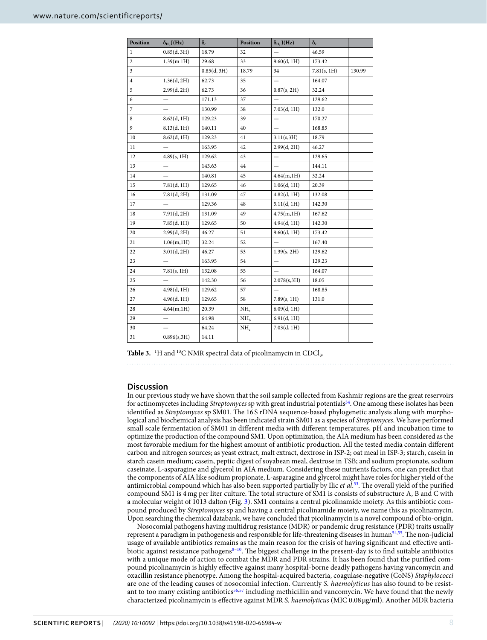<span id="page-7-0"></span>

| Position       | $\delta_{\rm H,}$ J(Hz)  | $\delta_c$  | Position        | $\delta_{\rm H}$ , J(Hz) | $\delta_c$  |        |
|----------------|--------------------------|-------------|-----------------|--------------------------|-------------|--------|
| $\mathbf{1}$   | 0.85(d, 3H)              | 18.79       | 32              |                          | 46.59       |        |
| $\overline{c}$ | 1.39(m1H)                | 29.68       | 33              | 9.60(d, 1H)              | 173.42      |        |
| 3              |                          | 0.85(d, 3H) | 18.79           | 34                       | 7.81(s, 1H) | 130.99 |
| 4              | 1.36(d, 2H)              | 62.73       | 35              |                          | 164.07      |        |
| 5              | 2.99(d, 2H)              | 62.73       | 36              | 0.87(s, 2H)              | 32.24       |        |
| 6              |                          | 171.13      | 37              |                          | 129.62      |        |
| 7              |                          | 130.99      | 38              | 7.03(d, 1H)              | 132.0       |        |
| 8              | 8.62(d, 1H)              | 129.23      | 39              | $\overline{\phantom{0}}$ | 170.27      |        |
| 9              | 8.13(d, 1H)              | 140.11      | 40              | $\overline{\phantom{0}}$ | 168.85      |        |
| 10             | 8.62(d, 1H)              | 129.23      | 41              | 3.11(s, 3H)              | 18.79       |        |
| 11             |                          | 163.95      | 42              | 2.99(d, 2H)              | 46.27       |        |
| 12             | 4.89(s, 1H)              | 129.62      | 43              |                          | 129.65      |        |
| 13             |                          | 143.63      | 44              |                          | 144.11      |        |
| 14             | $\overline{\phantom{0}}$ | 140.81      | 45              | 4.64(m,1H)               | 32.24       |        |
| 15             | 7.81(d, 1H)              | 129.65      | 46              | 1.06(d, 1H)              | 20.39       |        |
| 16             | 7.81(d, 2H)              | 131.09      | 47              | 4.82(d, 1H)              | 132.08      |        |
| 17             |                          | 129.36      | 48              | 5.11(d, 1H)              | 142.30      |        |
| 18             | 7.91(d, 2H)              | 131.09      | 49              | 4.75(m,1H)               | 167.62      |        |
| 19             | 7.85(d, 1H)              | 129.65      | 50              | 4.94(d, 1H)              | 142.30      |        |
| 20             | 2.99(d, 2H)              | 46.27       | 51              | 9.60(d, 1H)              | 173.42      |        |
| 21             | 1.06(m, 1H)              | 32.24       | 52              |                          | 167.40      |        |
| 22             | 3.01(d, 2H)              | 46.27       | 53              | 1.39(s, 2H)              | 129.62      |        |
| 23             |                          | 163.95      | 54              | $\overline{\phantom{0}}$ | 129.23      |        |
| 24             | 7.81(s, 1H)              | 132.08      | 55              | $\overline{\phantom{0}}$ | 164.07      |        |
| 25             | $\overline{\phantom{0}}$ | 142.30      | 56              | 2.078(s, 3H)             | 18.05       |        |
| 26             | 4.98(d, 1H)              | 129.62      | 57              | $\overline{\phantom{0}}$ | 168.85      |        |
| 27             | 4.96(d, 1H)              | 129.65      | 58              | 7.89(s, 1H)              | 131.0       |        |
| 28             | 4.64(m,1H)               | 20.39       | NH <sub>a</sub> | 6.09(d, 1H)              |             |        |
| 29             | $\qquad \qquad -$        | 64.98       | NH <sub>h</sub> | 6.91(d, 1H)              |             |        |
| 30             |                          | 64.24       | NH <sub>c</sub> | 7.03(d, 1H)              |             |        |
| 31             | 0.896(s, 3H)             | 14.11       |                 |                          |             |        |

Table 3. <sup>1</sup>H and <sup>13</sup>C NMR spectral data of picolinamycin in CDCl<sub>3</sub>.

## **Discussion**

In our previous study we have shown that the soil sample collected from Kashmir regions are the great reservoirs for actinomycetes including Streptomyces sp with great industrial potentials<sup>[34](#page-9-23)</sup>. One among these isolates has been identified as *Streptomyces* sp SM01. The 16 S rDNA sequence-based phylogenetic analysis along with morphological and biochemical analysis has been indicated strain SM01 as a species of Streptomyces. We have performed small scale fermentation of SM01 in different media with different temperatures, pH and incubation time to optimize the production of the compound SM1. Upon optimization, the AIA medium has been considered as the most favorable medium for the highest amount of antibiotic production. All the tested media contain different carbon and nitrogen sources; as yeast extract, malt extract, dextrose in ISP-2; oat meal in ISP-3; starch, casein in starch casein medium; casein, peptic digest of soyabean meal, dextrose in TSB; and sodium propionate, sodium caseinate, L-asparagine and glycerol in AIA medium. Considering these nutrients factors, one can predict that the components of AIA like sodium propionate, L-asparagine and glycerol might have roles for higher yield of the antimicrobial compound which has also been supported partially by Ilic et al.<sup>[53](#page-10-16)</sup>. The overall yield of the purified compound SM1 is 4 mg per liter culture. The total structure of SM1 is consists of substructure A, B and C with a molecular weight of 1013 dalton (Fig. [3](#page-6-1)). SM1 contains a central picolinamide moiety. As this antibiotic compound produced by Streptomyces sp and having a central picolinamide moiety, we name this as picolinamycin. Upon searching the chemical databank, we have concluded that picolinamycin is a novel compound of bio-origin.

Nosocomial pathogens having multidrug resistance (MDR) or pandemic drug resistance (PDR) traits usually represent a paradigm in pathogenesis and responsible for life-threatening diseases in human<sup>[54](#page-10-17)[,55](#page-10-18)</sup>. The non-judicial usage of available antibiotics remains as the main reason for the crisis of having significant and effective antibiotic against resistance pathogens $8-10$  $8-10$  $8-10$ . The biggest challenge in the present-day is to find suitable antibiotics with a unique mode of action to combat the MDR and PDR strains. It has been found that the purified compound picolinamycin is highly effective against many hospital-borne deadly pathogens having vancomycin and oxacillin resistance phenotype. Among the hospital-acquired bacteria, coagulase-negative (CoNS) Staphylococci are one of the leading causes of nosocomial infection. Currently S. haemolyticus has also found to be resist-ant to too many existing antibiotics<sup>[56](#page-10-19),[57](#page-10-20)</sup> including methicillin and vancomycin. We have found that the newly characterized picolinamycin is effective against MDR S. haemolyticus (MIC 0.08 µg/ml). Another MDR bacteria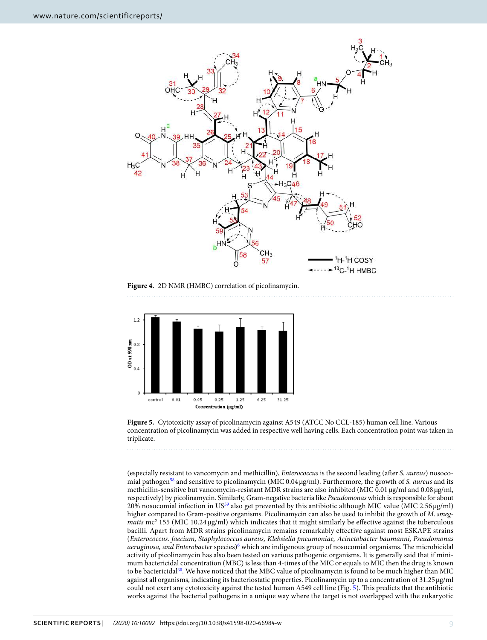

<span id="page-8-0"></span>**Figure 4.** 2D NMR (HMBC) correlation of picolinamycin.



<span id="page-8-1"></span>**Figure 5.** Cytotoxicity assay of picolinamycin against A549 (ATCC No CCL-185) human cell line. Various concentration of picolinamycin was added in respective well having cells. Each concentration point was taken in triplicate.

(especially resistant to vancomycin and methicillin), Enterococcus is the second leading (after S. aureus) nosoco-mial pathogen<sup>[58](#page-10-21)</sup> and sensitive to picolinamycin (MIC  $0.04 \mu g/ml$ ). Furthermore, the growth of S. *aureus* and its methicilin-sensitive but vancomycin-resistant MDR strains are also inhibited (MIC 0.01 µg/ml and 0.08 µg/ml, respectively) by picolinamycin. Similarly, Gram-negative bacteria like Pseudomonas which is responsible for about 20% nosocomial infection in US<sup>[59](#page-10-22)</sup> also get prevented by this antibiotic although MIC value (MIC 2.56  $\mu$ g/ml) higher compared to Gram-positive organisms. Picolinamycin can also be used to inhibit the growth of M. smegmatis  $mc^2$  155 (MIC 10.24  $\mu$ g/ml) which indicates that it might similarly be effective against the tuberculous bacilli. Apart from MDR strains picolinamycin remains remarkably effective against most ESKAPE strains (Enterococcus. faecium, Staphylococcus aureus, Klebsiella pneumoniae, Acinetobacter baumanni, Pseudomonas aeruginosa, and Enterobacter species)<sup>[6](#page-9-27)</sup> which are indigenous group of nosocomial organisms. The microbicidal activity of picolinamycin has also been tested on various pathogenic organisms. It is generally said that if minimum bactericidal concentration (MBC) is less than 4-times of the MIC or equals to MIC then the drug is known to be bactericidal<sup>[60](#page-10-23)</sup>. We have noticed that the MBC value of picolinamycin is found to be much higher than MIC against all organisms, indicating its bacteriostatic properties. Picolinamycin up to a concentration of 31.25 µg/ml could not exert any cytotoxicity against the tested human A549 cell line (Fig. [5\)](#page-8-1). This predicts that the antibiotic works against the bacterial pathogens in a unique way where the target is not overlapped with the eukaryotic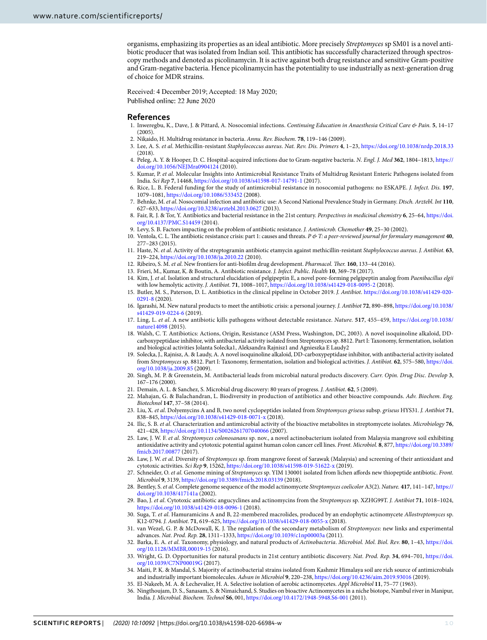organisms, emphasizing its properties as an ideal antibiotic. More precisely Streptomyces sp SM01 is a novel antibiotic producer that was isolated from Indian soil. This antibiotic has successfully characterized through spectroscopy methods and denoted as picolinamycin. It is active against both drug resistance and sensitive Gram-positive and Gram-negative bacteria. Hence picolinamycin has the potentiality to use industrially as next-generation drug of choice for MDR strains.

Received: 4 December 2019; Accepted: 18 May 2020; Published online: 22 June 2020

#### **References**

- <span id="page-9-0"></span> 1. Inweregbu, K., Dave, J. & Pittard, A. Nosocomial infections. Continuing Education in Anaesthesia Critical Care & Pain. **5**, 14–17  $(2005)$
- <span id="page-9-1"></span>2. Nikaido, H. Multidrug resistance in bacteria. Annu. Rev. Biochem. **78**, 119–146 (2009).
- 3. Lee, A. S. et al. Methicillin-resistant Staphylococcus aureus. Nat. Rev. Dis. Primers **4**, 1–23, <https://doi.org/10.1038/nrdp.2018.33>  $(2018)$
- 4. Peleg, A. Y. & Hooper, D. C. Hospital-acquired infections due to Gram-negative bacteria. N. Engl. J. Med **362**, 1804–1813, [https://](https://doi.org/10.1056/NEJMra0904124) [doi.org/10.1056/NEJMra0904124](https://doi.org/10.1056/NEJMra0904124) (2010).
- <span id="page-9-26"></span>5. Kumar, P. et al. Molecular Insights into Antimicrobial Resistance Traits of Multidrug Resistant Enteric Pathogens isolated from India. Sci Rep **7**, 14468, <https://doi.org/10.1038/s41598-017-14791-1>(2017).
- <span id="page-9-27"></span> 6. Rice, L. B. Federal funding for the study of antimicrobial resistance in nosocomial pathogens: no ESKAPE. J. Infect. Dis. **197**, 1079–1081, <https://doi.org/10.1086/533452> (2008).
- 7. Behnke, M. et al. Nosocomial infection and antibiotic use: A Second National Prevalence Study in Germany. Dtsch. Arztebl. Int **110**, 627–633,<https://doi.org/10.3238/arztebl.2013.0627> (2013).
- <span id="page-9-2"></span> 8. Fair, R. J. & Tor, Y. Antibiotics and bacterial resistance in the 21st century. Perspectives in medicinal chemistry **6**, 25–64, [https://doi.](https://doi.org/10.4137/PMC.S14459) [org/10.4137/PMC.S14459](https://doi.org/10.4137/PMC.S14459) (2014).
- 9. Levy, S. B. Factors impacting on the problem of antibiotic resistance. J. Antimicrob. Chemother **49**, 25–30 (2002).
- <span id="page-9-3"></span> 10. Ventola, C. L. The antibiotic resistance crisis: part 1: causes and threats. P & T: a peer-reviewed journal for formulary management **40**, 277–283 (2015).
- <span id="page-9-4"></span> 11. Haste, N. et al. Activity of the streptogramin antibiotic etamycin against methicillin-resistant Staphylococcus aureus. J. Antibiot. **63**, 219–224,<https://doi.org/10.1038/ja.2010.22>(2010).
- 12. Ribeiro, S. M. et al. New frontiers for anti-biofilm drug development. Pharmacol. Ther. **160**, 133–44 (2016).
- 13. Frieri, M., Kumar, K. & Boutin, A. Antibiotic resistance. J. Infect. Public. Health **10**, 369–78 (2017).
- <span id="page-9-5"></span>14. Kim, J. et al. Isolation and structural elucidation of pelgipeptin E, a novel pore-forming pelgipeptin analog from Paenibacillus elgii with low hemolytic activity. J. Antibiot. **71**, 1008–1017,<https://doi.org/10.1038/s41429-018-0095-2> (2018).
- <span id="page-9-6"></span> 15. Butler, M. S., Paterson, D. L. Antibiotics in the clinical pipeline in October 2019. J. Antibiot. [https://doi.org/10.1038/s41429-020-](https://doi.org/10.1038/s41429-020-0291-8) [0291-8](https://doi.org/10.1038/s41429-020-0291-8) (2020).
- <span id="page-9-7"></span> 16. Igarashi, M. New natural products to meet the antibiotic crisis: a personal journey. J. Antibiot **72**, 890–898, [https://doi.org/10.1038/](https://doi.org/10.1038/s41429-019-0224-6) [s41429-019-0224-6](https://doi.org/10.1038/s41429-019-0224-6) (2019).
- <span id="page-9-8"></span> 17. Ling, L. et al. A new antibiotic kills pathogens without detectable resistance. Nature. **517**, 455–459, [https://doi.org/10.1038/](https://doi.org/10.1038/nature14098) [nature14098](https://doi.org/10.1038/nature14098) (2015).
- <span id="page-9-9"></span> 18. Walsh, C. T. Antibiotics: Actions, Origin, Resistance (ASM Press, Washington, DC, 2003). A novel isoquinoline alkaloid, DDcarboxypeptidase inhibitor, with antibacterial activity isolated from Streptomyces sp. 8812. Part I: Taxonomy, fermentation, isolation and biological activities Jolanta Solecka1, Aleksandra Rajnisz1 and Agnieszka E Laudy2
- <span id="page-9-10"></span> 19. Solecka, J., Rajnisz, A. & Laudy, A. A novel isoquinoline alkaloid, DD-carboxypeptidase inhibitor, with antibacterial activity isolated from Streptomyces sp. 8812. Part I: Taxonomy, fermentation, isolation and biological activities. J. Antibiot. **62**, 575–580, [https://doi.](https://doi.org/10.1038/ja.2009.85) [org/10.1038/ja.2009.85](https://doi.org/10.1038/ja.2009.85) (2009).
- <span id="page-9-11"></span> 20. Singh, M. P. & Greenstein, M. Antibacterial leads from microbial natural products discovery. Curr. Opin. Drug Disc. Develop **3**, 167–176 (2000).
- <span id="page-9-12"></span>21. Demain, A. L. & Sanchez, S. Microbial drug discovery: 80 years of progress. J. Antibiot. **62**, 5 (2009).
- <span id="page-9-13"></span>22. Mahajan, G. & Balachandran, L. Biodiversity in production of antibiotics and other bioactive compounds. Adv. Biochem. Eng. Biotechnol **147**, 37–58 (2014).
- <span id="page-9-14"></span> 23. Liu, X. et al. Dolyemycins A and B, two novel cyclopeptides isolated from Streptomyces griseus subsp. griseus HYS31. J. Antibiot **71**, 838–845,<https://doi.org/10.1038/s41429-018-0071-x> (2018).
- <span id="page-9-15"></span> 24. Ilic, S. B. et al. Characterization and antimicrobial activity of the bioactive metabolites in streptomycete isolates. Microbiology **76**, 421–428,<https://doi.org/10.1134/S0026261707040066>(2007).
- 25. Law, J. W. F. et al. Streptomyces colonosanans sp. nov., a novel actinobacterium isolated from Malaysia mangrove soil exhibiting antioxidative activity and cytotoxic potential against human colon cancer cell lines. Front. Microbiol. **8**, 877, [https://doi.org/10.3389/](https://doi.org/10.3389/fmicb.2017.00877) [fmicb.2017.00877](https://doi.org/10.3389/fmicb.2017.00877) (2017).
- <span id="page-9-20"></span> 26. Law, J. W. et al. Diversity of Streptomyces sp. from mangrove forest of Sarawak (Malaysia) and screening of their antioxidant and cytotoxic activities. Sci Rep **9**, 15262,<https://doi.org/10.1038/s41598-019-51622-x>(2019).
- <span id="page-9-16"></span>27. Schneider, O. et al. Genome mining of Streptomyces sp. YIM 130001 isolated from lichen affords new thiopeptide antibiotic. Front. Microbiol **9**, 3139,<https://doi.org/10.3389/fmicb.2018.03139> (2018).
- <span id="page-9-17"></span> 28. Bentley, S. et al. Complete genome sequence of the model actinomycete Streptomyces coelicolor A3(2). Nature. **417**, 141–147, [https://](https://doi.org/10.1038/417141a) [doi.org/10.1038/417141a](https://doi.org/10.1038/417141a) (2002).
- <span id="page-9-18"></span> 29. Bao, J. et al. Cytotoxic antibiotic angucyclines and actinomycins from the Streptomyces sp. XZHG99T. J. Antibiot **71**, 1018–1024, <https://doi.org/10.1038/s41429-018-0096-1> (2018).
- <span id="page-9-19"></span>30. Suga, T. et al. Hamuramicins A and B, 22-membered macrolides, produced by an endophytic actinomycete Allostreptomyces sp. K12-0794. J. Antibiot. **71**, 619–625,<https://doi.org/10.1038/s41429-018-0055-x> (2018).
- 31. van Wezel, G. P. & McDowall, K. J. The regulation of the secondary metabolism of Streptomyces: new links and experimental advances. Nat. Prod. Rep. **28**, 1311–1333,<https://doi.org/10.1039/c1np00003a> (2011).
- <span id="page-9-21"></span> 32. Barka, E. A. et al. Taxonomy, physiology, and natural products of Actinobacteria. Microbiol. Mol. Biol. Rev. **80**, 1–43, [https://doi.](https://doi.org/10.1128/MMBR.00019-15) [org/10.1128/MMBR.00019-15](https://doi.org/10.1128/MMBR.00019-15) (2016).
- <span id="page-9-22"></span> 33. Wright, G. D. Opportunities for natural products in 21st century antibiotic discovery. Nat. Prod. Rep. **34**, 694–701, [https://doi.](https://doi.org/10.1039/C7NP00019G) [org/10.1039/C7NP00019G](https://doi.org/10.1039/C7NP00019G) (2017).
- <span id="page-9-23"></span> 34. Maiti, P. K. & Mandal, S. Majority of actinobacterial strains isolated from Kashmir Himalaya soil are rich source of antimicrobials and industrially important biomolecules. Advan in Microbiol **9**, 220–238, <https://doi.org/10.4236/aim.2019.93016> (2019).
- <span id="page-9-25"></span><span id="page-9-24"></span> 35. El-Nakeeb, M. A. & Lechevalier, H. A. Selective isolation of aerobic actinomycetes. Appl Microbiol **11**, 75–77 (1963). 36. Ningthoujam, D. S., Sanasam, S. & Nimaichand, S. Studies on bioactive Actinomycetes in a niche biotope, Nambul river in Manipur, India. J. Microbial. Biochem. Technol **S6**, 001,<https://doi.org/10.4172/1948-5948.S6-001> (2011).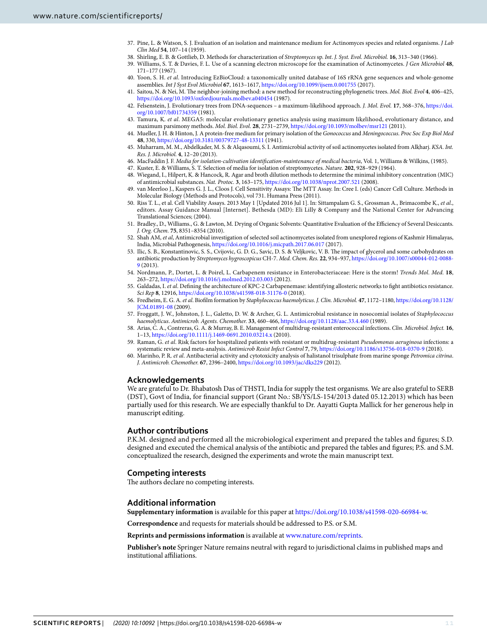- <span id="page-10-0"></span>37. Pine, L. & Watson, S. I. Evaluation of an isolation and maintenance medium for Actinomyces species and related organisms. *J Lab* Clin Med **54**, 107–14 (1959).
- <span id="page-10-1"></span>38. Shirling, E. B. & Gottlieb, D. Methods for characterization of Streptomyces sp. Int. J. Syst. Evol. Microbiol. **16**, 313–340 (1966).
- <span id="page-10-2"></span> 39. Williams, S. T. & Davies, F. L. Use of a scanning electron microscope for the examination of Actinomycetes. J Gen Microbiol **48**, 171–177 (1967).
- <span id="page-10-3"></span> 40. Yoon, S. H. et al. Introducing EzBioCloud: a taxonomically united database of 16S rRNA gene sequences and whole-genome assemblies. Int J Syst Evol Microbiol **67**, 1613–1617, <https://doi.org/10.1099/ijsem.0.001755>(2017).
- <span id="page-10-4"></span> 41. Saitou, N. & Nei, M. The neighbor-joining method: a new method for reconstructing phylogenetic trees. Mol. Biol. Evol **4**, 406–425, <https://doi.org/10.1093/oxfordjournals.molbev.a040454> (1987).
- <span id="page-10-5"></span> 42. Felsenstein, J. Evolutionary trees from DNA-sequences – a maximum-likelihood approach. J. Mol. Evol. **17**, 368–376, [https://doi.](https://doi.org/10.1007/bf01734359) [org/10.1007/bf01734359](https://doi.org/10.1007/bf01734359) (1981).
- <span id="page-10-6"></span>43. Tamura, K. et al. MEGA5: molecular evolutionary genetics analysis using maximum likelihood, evolutionary distance, and maximum parsimony methods. Mol. Biol. Evol. **28**, 2731–2739, <https://doi.org/10.1093/molbev/msr121> (2011).
- <span id="page-10-7"></span>44. Mueller, J. H. & Hinton, J. A protein-free medium for primary isolation of the Gonococcus and Meningococcus. Proc Soc Exp Biol Med **48**, 330,<https://doi.org/10.3181/00379727-48-13311> (1941).
- <span id="page-10-8"></span> 45. Muharram, M. M., Abdelkader, M. S. & Alqasoumi, S. I. Antimicrobial activity of soil actinomycetes isolated from Alkharj. KSA. Int. Res. J. Microbiol. **4**, 12–20 (2013).
- <span id="page-10-9"></span>46. MacFaddin J. F. Media for isolation-cultivation identification-maintenance of medical bacteria, Vol. 1, Williams & Wilkins, (1985).
- <span id="page-10-10"></span>47. Kuster, E. & Williams, S. T. Selection of media for isolation of streptomycetes. Nature. **202**, 928–929 (1964).
- <span id="page-10-11"></span> 48. Wiegand, I., Hilpert, K. & Hancock, R. Agar and broth dilution methods to determine the minimal inhibitory concentration (MIC) of antimicrobial substances. Nat. Protoc. **3**, 163–175,<https://doi.org/10.1038/nprot.2007.521> (2008).
- <span id="page-10-12"></span> 49. van Meerloo J., Kaspers G. J. L., Cloos J. Cell Sensitivity Assays: The MTT Assay. In: Cree I. (eds) Cancer Cell Culture. Methods in Molecular Biology (Methods and Protocols), vol 731. Humana Press (2011).
- <span id="page-10-13"></span> 50. Riss T. L., et al. Cell Viability Assays. 2013 May 1 [Updated 2016 Jul 1]. In: Sittampalam G. S., Grossman A., Brimacombe K., et al., editors. Assay Guidance Manual [Internet]. Bethesda (MD): Eli Lilly & Company and the National Center for Advancing Translational Sciences; (2004).
- <span id="page-10-14"></span> 51. Bradley., D., Williams., G. & Lawton, M. Drying of Organic Solvents: Quantitative Evaluation of the Efficiency of Several Desiccants. J. Org. Chem. **75**, 8351–8354 (2010).
- <span id="page-10-15"></span>52. Shah AM, et al, Antimicrobial investigation of selected soil actinomycetes isolated from unexplored regions of Kashmir Himalayas, India, Microbial Pathogenesis,<https://doi.org/10.1016/j.micpath.2017.06.017>(2017).
- <span id="page-10-16"></span> 53. Ilic, S. B., Konstantinovic, S. S., Cvijovic, G. D. G., Savic, D. S. & Veljkovic, V. B. The impact of glycerol and some carbohydrates on antibiotic production by Streptomyces hygroscopicus CH-7. Med. Chem. Res. **22**, 934–937, [https://doi.org/10.1007/s00044-012-0088-](https://doi.org/10.1007/s00044-012-0088-9) [9](https://doi.org/10.1007/s00044-012-0088-9) (2013).
- <span id="page-10-17"></span> 54. Nordmann, P., Dortet, L. & Poirel, L. Carbapenem resistance in Enterobacteriaceae: Here is the storm! Trends Mol. Med. **18**, 263–272,<https://doi.org/10.1016/j.molmed.2012.03.003>(2012).
- <span id="page-10-18"></span>55. Galdadas, I. et al. Defining the architecture of KPC-2 Carbapenemase: identifying allosteric networks to fight antibiotics resistance. Sci Rep **8**, 12916, <https://doi.org/10.1038/s41598-018-31176-0>(2018).
- <span id="page-10-19"></span> 56. Fredheim, E. G. A. et al. Biofilm formation by Staphylococcus haemolyticus. J. Clin. Microbiol. **47**, 1172–1180, [https://doi.org/10.1128/](https://doi.org/10.1128/JCM.01891-08) [JCM.01891-08](https://doi.org/10.1128/JCM.01891-08) (2009).
- <span id="page-10-20"></span> 57. Froggatt, J. W., Johnston, J. L., Galetto, D. W. & Archer, G. L. Antimicrobial resistance in nosocomial isolates of Staphylococcus haemolyticus. Antimicrob. Agents. Chemother. **33**, 460–466,<https://doi.org/10.1128/aac.33.4.460>(1989).
- <span id="page-10-21"></span> 58. Arias, C. A., Contreras, G. A. & Murray, B. E. Management of multidrug-resistant enterococcal infections. Clin. Microbiol. Infect. **16**, 1–13, <https://doi.org/10.1111/j.1469-0691.2010.03214.x>(2010).
- <span id="page-10-22"></span>59. Raman, G. et al. Risk factors for hospitalized patients with resistant or multidrug-resistant Pseudomonas aeruginosa infections: a systematic review and meta-analysis. Antimicrob Resist Infect Control **7**, 79, <https://doi.org/10.1186/s13756-018-0370-9> (2018).
- <span id="page-10-23"></span> 60. Marinho, P. R. et al. Antibacterial activity and cytotoxicity analysis of halistanol trisulphate from marine sponge Petromica citrina. J. Antimicrob. Chemother. **67**, 2396–2400,<https://doi.org/10.1093/jac/dks229>(2012).

#### **Acknowledgements**

We are grateful to Dr. Bhabatosh Das of THSTI, India for supply the test organisms. We are also grateful to SERB (DST), Govt of India, for financial support (Grant No.: SB/YS/LS-154/2013 dated 05.12.2013) which has been partially used for this research. We are especially thankful to Dr. Aayatti Gupta Mallick for her generous help in manuscript editing.

#### **Author contributions**

P.K.M. designed and performed all the microbiological experiment and prepared the tables and figures; S.D. designed and executed the chemical analysis of the antibiotic and prepared the tables and figures; P.S. and S.M. conceptualized the research, designed the experiments and wrote the main manuscript text.

#### **Competing interests**

The authors declare no competing interests.

#### **Additional information**

**Supplementary information** is available for this paper at<https://doi.org/10.1038/s41598-020-66984-w>.

**Correspondence** and requests for materials should be addressed to P.S. or S.M.

#### **Reprints and permissions information** is available at [www.nature.com/reprints.](http://www.nature.com/reprints)

**Publisher's note** Springer Nature remains neutral with regard to jurisdictional claims in published maps and institutional affiliations.